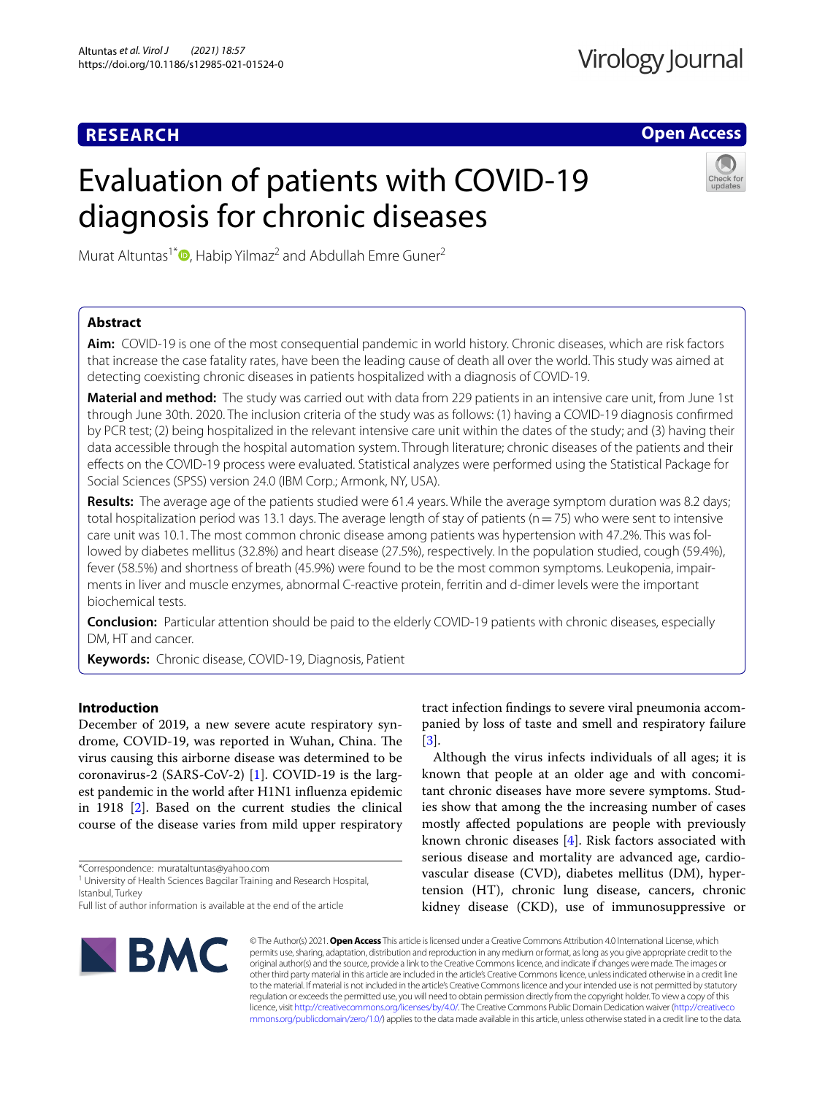# **RESEARCH**

**Open Access**

# Evaluation of patients with COVID-19 diagnosis for chronic diseases



Murat Altuntas<sup>1\*</sup>  $\bullet$ [,](http://orcid.org/0000-0003-0282-2721) Habip Yilmaz<sup>2</sup> and Abdullah Emre Guner<sup>2</sup>

# **Abstract**

**Aim:** COVID-19 is one of the most consequential pandemic in world history. Chronic diseases, which are risk factors that increase the case fatality rates, have been the leading cause of death all over the world. This study was aimed at detecting coexisting chronic diseases in patients hospitalized with a diagnosis of COVID-19.

**Material and method:** The study was carried out with data from 229 patients in an intensive care unit, from June 1st through June 30th. 2020. The inclusion criteria of the study was as follows: (1) having a COVID-19 diagnosis confrmed by PCR test; (2) being hospitalized in the relevant intensive care unit within the dates of the study; and (3) having their data accessible through the hospital automation system. Through literature; chronic diseases of the patients and their efects on the COVID-19 process were evaluated. Statistical analyzes were performed using the Statistical Package for Social Sciences (SPSS) version 24.0 (IBM Corp.; Armonk, NY, USA).

**Results:** The average age of the patients studied were 61.4 years. While the average symptom duration was 8.2 days; total hospitalization period was 13.1 days. The average length of stay of patients ( $n=75$ ) who were sent to intensive care unit was 10.1. The most common chronic disease among patients was hypertension with 47.2%. This was followed by diabetes mellitus (32.8%) and heart disease (27.5%), respectively. In the population studied, cough (59.4%), fever (58.5%) and shortness of breath (45.9%) were found to be the most common symptoms. Leukopenia, impairments in liver and muscle enzymes, abnormal C-reactive protein, ferritin and d-dimer levels were the important biochemical tests.

**Conclusion:** Particular attention should be paid to the elderly COVID-19 patients with chronic diseases, especially DM, HT and cancer.

**Keywords:** Chronic disease, COVID-19, Diagnosis, Patient

# **Introduction**

December of 2019, a new severe acute respiratory syndrome, COVID-19, was reported in Wuhan, China. The virus causing this airborne disease was determined to be coronavirus-2 (SARS-CoV-2) [\[1](#page-4-0)]. COVID-19 is the largest pandemic in the world after H1N1 infuenza epidemic in 1918 [\[2](#page-4-1)]. Based on the current studies the clinical course of the disease varies from mild upper respiratory

\*Correspondence: murataltuntas@yahoo.com

<sup>1</sup> University of Health Sciences Bagcilar Training and Research Hospital, Istanbul, Turkey

tract infection fndings to severe viral pneumonia accompanied by loss of taste and smell and respiratory failure [[3\]](#page-4-2).

Although the virus infects individuals of all ages; it is known that people at an older age and with concomitant chronic diseases have more severe symptoms. Studies show that among the the increasing number of cases mostly afected populations are people with previously known chronic diseases [[4\]](#page-4-3). Risk factors associated with serious disease and mortality are advanced age, cardiovascular disease (CVD), diabetes mellitus (DM), hypertension (HT), chronic lung disease, cancers, chronic kidney disease (CKD), use of immunosuppressive or



© The Author(s) 2021. **Open Access** This article is licensed under a Creative Commons Attribution 4.0 International License, which permits use, sharing, adaptation, distribution and reproduction in any medium or format, as long as you give appropriate credit to the original author(s) and the source, provide a link to the Creative Commons licence, and indicate if changes were made. The images or other third party material in this article are included in the article's Creative Commons licence, unless indicated otherwise in a credit line to the material. If material is not included in the article's Creative Commons licence and your intended use is not permitted by statutory regulation or exceeds the permitted use, you will need to obtain permission directly from the copyright holder. To view a copy of this licence, visit [http://creativecommons.org/licenses/by/4.0/.](http://creativecommons.org/licenses/by/4.0/) The Creative Commons Public Domain Dedication waiver ([http://creativeco](http://creativecommons.org/publicdomain/zero/1.0/) [mmons.org/publicdomain/zero/1.0/](http://creativecommons.org/publicdomain/zero/1.0/)) applies to the data made available in this article, unless otherwise stated in a credit line to the data.

Full list of author information is available at the end of the article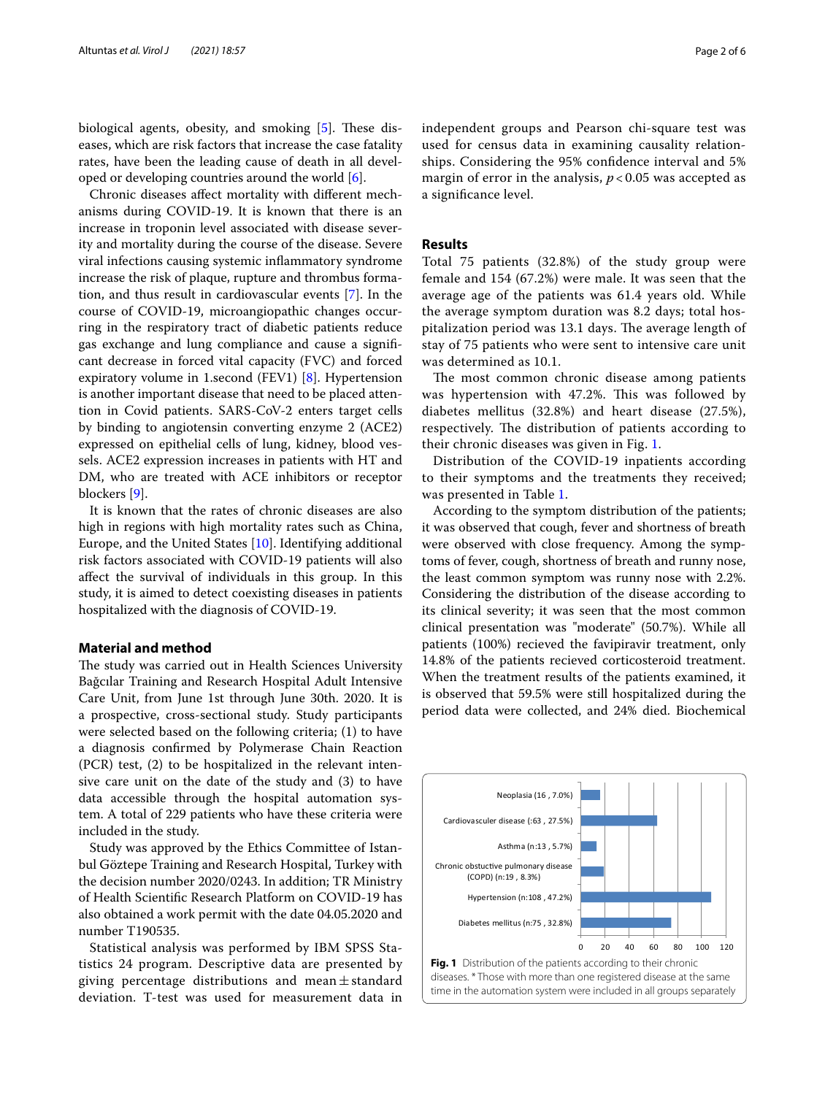biological agents, obesity, and smoking  $[5]$  $[5]$ . These diseases, which are risk factors that increase the case fatality rates, have been the leading cause of death in all developed or developing countries around the world [\[6](#page-4-5)].

Chronic diseases afect mortality with diferent mechanisms during COVID-19. It is known that there is an increase in troponin level associated with disease severity and mortality during the course of the disease. Severe viral infections causing systemic infammatory syndrome increase the risk of plaque, rupture and thrombus formation, and thus result in cardiovascular events [[7\]](#page-4-6). In the course of COVID-19, microangiopathic changes occurring in the respiratory tract of diabetic patients reduce gas exchange and lung compliance and cause a signifcant decrease in forced vital capacity (FVC) and forced expiratory volume in 1.second (FEV1) [\[8\]](#page-4-7). Hypertension is another important disease that need to be placed attention in Covid patients. SARS-CoV-2 enters target cells by binding to angiotensin converting enzyme 2 (ACE2) expressed on epithelial cells of lung, kidney, blood vessels. ACE2 expression increases in patients with HT and DM, who are treated with ACE inhibitors or receptor blockers [\[9](#page-4-8)].

It is known that the rates of chronic diseases are also high in regions with high mortality rates such as China, Europe, and the United States [\[10](#page-4-9)]. Identifying additional risk factors associated with COVID-19 patients will also afect the survival of individuals in this group. In this study, it is aimed to detect coexisting diseases in patients hospitalized with the diagnosis of COVID-19.

## **Material and method**

The study was carried out in Health Sciences University Bağcılar Training and Research Hospital Adult Intensive Care Unit, from June 1st through June 30th. 2020. It is a prospective, cross-sectional study. Study participants were selected based on the following criteria; (1) to have a diagnosis confrmed by Polymerase Chain Reaction (PCR) test, (2) to be hospitalized in the relevant intensive care unit on the date of the study and (3) to have data accessible through the hospital automation system. A total of 229 patients who have these criteria were included in the study.

Study was approved by the Ethics Committee of Istanbul Göztepe Training and Research Hospital, Turkey with the decision number 2020/0243. In addition; TR Ministry of Health Scientifc Research Platform on COVID-19 has also obtained a work permit with the date 04.05.2020 and number T190535.

Statistical analysis was performed by IBM SPSS Statistics 24 program. Descriptive data are presented by giving percentage distributions and mean $\pm$ standard deviation. T-test was used for measurement data in independent groups and Pearson chi-square test was used for census data in examining causality relationships. Considering the 95% confdence interval and 5% margin of error in the analysis, *p* < 0.05 was accepted as a signifcance level.

# **Results**

Total 75 patients (32.8%) of the study group were female and 154 (67.2%) were male. It was seen that the average age of the patients was 61.4 years old. While the average symptom duration was 8.2 days; total hospitalization period was 13.1 days. The average length of stay of 75 patients who were sent to intensive care unit was determined as 10.1.

The most common chronic disease among patients was hypertension with 47.2%. This was followed by diabetes mellitus (32.8%) and heart disease (27.5%), respectively. The distribution of patients according to their chronic diseases was given in Fig. [1](#page-1-0).

Distribution of the COVID-19 inpatients according to their symptoms and the treatments they received; was presented in Table [1](#page-2-0).

According to the symptom distribution of the patients; it was observed that cough, fever and shortness of breath were observed with close frequency. Among the symptoms of fever, cough, shortness of breath and runny nose, the least common symptom was runny nose with 2.2%. Considering the distribution of the disease according to its clinical severity; it was seen that the most common clinical presentation was "moderate" (50.7%). While all patients (100%) recieved the favipiravir treatment, only 14.8% of the patients recieved corticosteroid treatment. When the treatment results of the patients examined, it is observed that 59.5% were still hospitalized during the period data were collected, and 24% died. Biochemical

<span id="page-1-0"></span>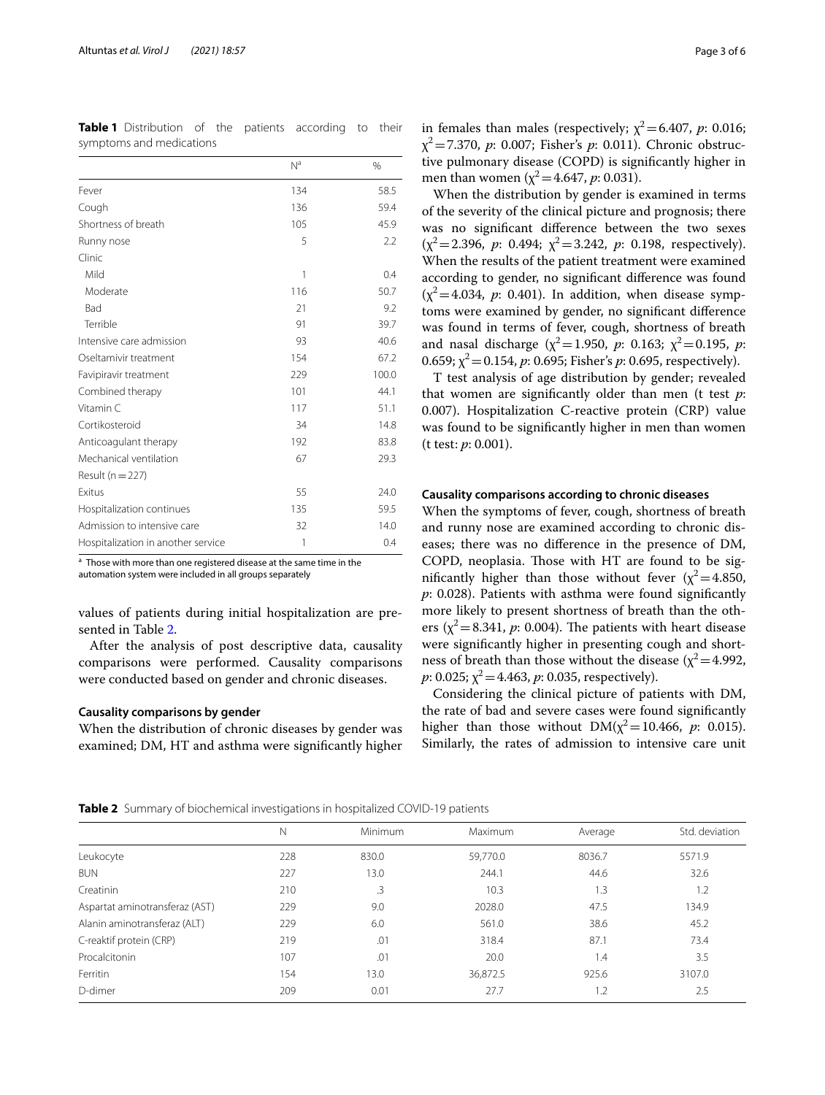|                                    | N <sup>a</sup> | $\%$  |
|------------------------------------|----------------|-------|
| Fever                              | 134            | 58.5  |
| Cough                              | 136            | 59.4  |
| Shortness of breath                | 105            | 45.9  |
| Runny nose                         | 5              | 2.2   |
| Clinic                             |                |       |
| Mild                               | 1              | 0.4   |
| Moderate                           | 116            | 50.7  |
| Bad                                | 21             | 9.2   |
| Terrible                           | 91             | 39.7  |
| Intensive care admission           | 93             | 40.6  |
| Oseltamivir treatment              | 154            | 67.2  |
| Favipiravir treatment              | 229            | 100.0 |
| Combined therapy                   | 101            | 44.1  |
| Vitamin C                          | 117            | 51.1  |
| Cortikosteroid                     | 34             | 14.8  |
| Anticoagulant therapy              | 192            | 83.8  |
| Mechanical ventilation             | 67             | 29.3  |
| Result ( $n = 227$ )               |                |       |
| <b>Fxitus</b>                      | 55             | 24.0  |
| Hospitalization continues          | 135            | 59.5  |
| Admission to intensive care        | 32             | 14.0  |
| Hospitalization in another service | 1              | 0.4   |
|                                    |                |       |

<span id="page-2-0"></span>**Table 1** Distribution of the patients according to their symptoms and medications

<sup>a</sup> Those with more than one registered disease at the same time in the automation system were included in all groups separately

values of patients during initial hospitalization are presented in Table [2.](#page-2-1)

After the analysis of post descriptive data, causality comparisons were performed. Causality comparisons were conducted based on gender and chronic diseases.

#### **Causality comparisons by gender**

When the distribution of chronic diseases by gender was examined; DM, HT and asthma were signifcantly higher

in females than males (respectively;  $\chi^2$  = 6.407, *p*: 0.016; χ2=7.370, *p*: 0.007; Fisher's *p*: 0.011). Chronic obstructive pulmonary disease (COPD) is signifcantly higher in men than women ( $\chi^2$  = 4.647, *p*: 0.031).

When the distribution by gender is examined in terms of the severity of the clinical picture and prognosis; there was no signifcant diference between the two sexes  $(\chi^2 = 2.396, p: 0.494; \chi^2 = 3.242, p: 0.198, respectively).$ When the results of the patient treatment were examined according to gender, no signifcant diference was found  $(x^2=4.034, p: 0.401)$ . In addition, when disease symptoms were examined by gender, no signifcant diference was found in terms of fever, cough, shortness of breath and nasal discharge ( $\chi^2$  = 1.950, *p*: 0.163;  $\chi^2$  = 0.195, *p*: 0.659;  $\chi^2$  = 0.154, *p*: 0.695; Fisher's *p*: 0.695, respectively).

T test analysis of age distribution by gender; revealed that women are signifcantly older than men (t test *p*: 0.007). Hospitalization C-reactive protein (CRP) value was found to be signifcantly higher in men than women (t test: *p*: 0.001).

### **Causality comparisons according to chronic diseases**

When the symptoms of fever, cough, shortness of breath and runny nose are examined according to chronic diseases; there was no diference in the presence of DM, COPD, neoplasia. Those with HT are found to be significantly higher than those without fever  $(x^2=4.850,$ *p*: 0.028). Patients with asthma were found signifcantly more likely to present shortness of breath than the others  $(\chi^2 = 8.341, p: 0.004)$ . The patients with heart disease were signifcantly higher in presenting cough and shortness of breath than those without the disease ( $\chi^2$  = 4.992,  $p: 0.025$ ;  $\chi^2$  = 4.463,  $p: 0.035$ , respectively).

Considering the clinical picture of patients with DM, the rate of bad and severe cases were found signifcantly higher than those without  $DM(\chi^2=10.466, p: 0.015)$ . Similarly, the rates of admission to intensive care unit

<span id="page-2-1"></span>**Table 2** Summary of biochemical investigations in hospitalized COVID-19 patients

|                                | Ν   | Minimum | Maximum  | Average | Std. deviation |
|--------------------------------|-----|---------|----------|---------|----------------|
| Leukocyte                      | 228 | 830.0   | 59,770.0 | 8036.7  | 5571.9         |
| <b>BUN</b>                     | 227 | 13.0    | 244.1    | 44.6    | 32.6           |
| Creatinin                      | 210 | .3      | 10.3     | 1.3     | 1.2            |
| Aspartat aminotransferaz (AST) | 229 | 9.0     | 2028.0   | 47.5    | 134.9          |
| Alanin aminotransferaz (ALT)   | 229 | 6.0     | 561.0    | 38.6    | 45.2           |
| C-reaktif protein (CRP)        | 219 | .01     | 318.4    | 87.1    | 73.4           |
| Procalcitonin                  | 107 | .01     | 20.0     | 1.4     | 3.5            |
| Ferritin                       | 154 | 13.0    | 36,872.5 | 925.6   | 3107.0         |
| D-dimer                        | 209 | 0.01    | 27.7     | 1.2     | 2.5            |
|                                |     |         |          |         |                |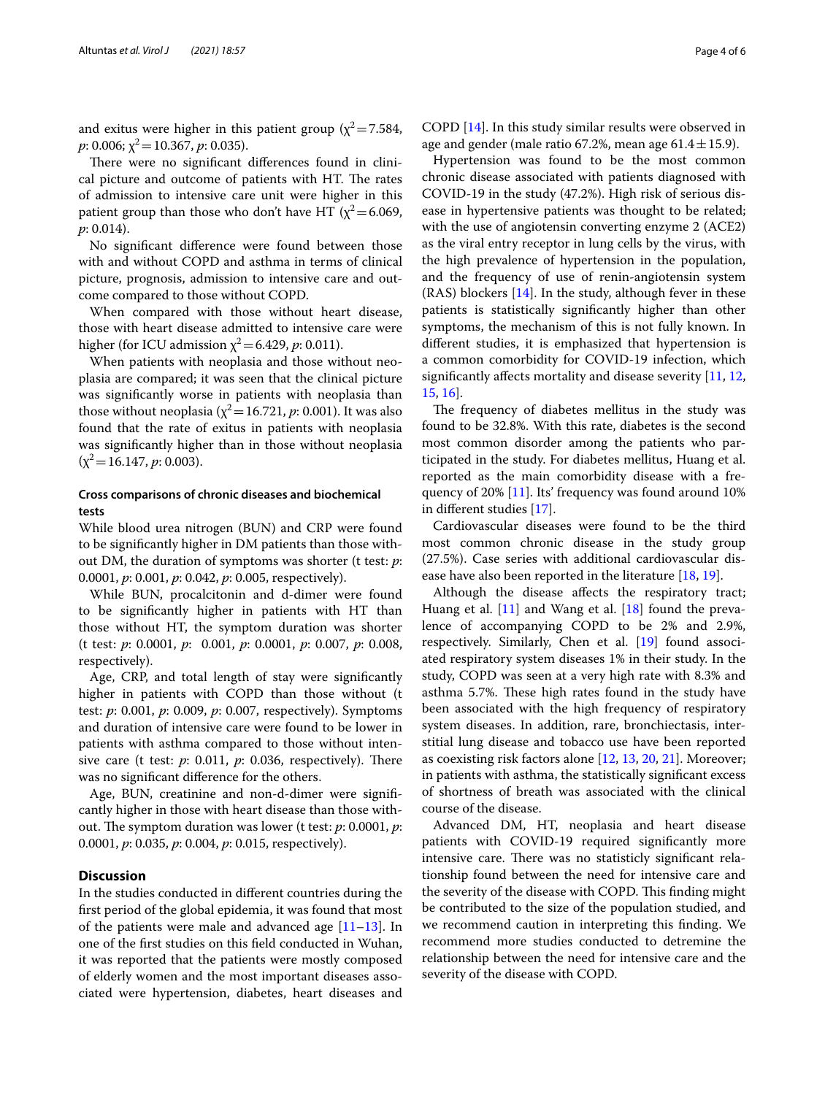and exitus were higher in this patient group ( $\chi^2$  = 7.584,  $p: 0.006$ ;  $\chi^2$  = 10.367,  $p: 0.035$ ).

There were no significant differences found in clinical picture and outcome of patients with HT. The rates of admission to intensive care unit were higher in this patient group than those who don't have HT ( $\chi^2$  = 6.069, *p*: 0.014).

No signifcant diference were found between those with and without COPD and asthma in terms of clinical picture, prognosis, admission to intensive care and outcome compared to those without COPD.

When compared with those without heart disease, those with heart disease admitted to intensive care were higher (for ICU admission  $\chi^2$  = 6.429, *p*: 0.011).

When patients with neoplasia and those without neoplasia are compared; it was seen that the clinical picture was signifcantly worse in patients with neoplasia than those without neoplasia ( $\chi^2$  = 16.721, *p*: 0.001). It was also found that the rate of exitus in patients with neoplasia was signifcantly higher than in those without neoplasia  $(\chi^2=16.147, p: 0.003).$ 

# **Cross comparisons of chronic diseases and biochemical tests**

While blood urea nitrogen (BUN) and CRP were found to be signifcantly higher in DM patients than those without DM, the duration of symptoms was shorter (t test: *p*: 0.0001, *p*: 0.001, *p*: 0.042, *p*: 0.005, respectively).

While BUN, procalcitonin and d-dimer were found to be signifcantly higher in patients with HT than those without HT, the symptom duration was shorter (t test: *p*: 0.0001, *p*: 0.001, *p*: 0.0001, *p*: 0.007, *p*: 0.008, respectively).

Age, CRP, and total length of stay were signifcantly higher in patients with COPD than those without (t test: *p*: 0.001, *p*: 0.009, *p*: 0.007, respectively). Symptoms and duration of intensive care were found to be lower in patients with asthma compared to those without intensive care (t test:  $p$ : 0.011,  $p$ : 0.036, respectively). There was no signifcant diference for the others.

Age, BUN, creatinine and non-d-dimer were signifcantly higher in those with heart disease than those without. The symptom duration was lower (t test: *p*: 0.0001, *p*: 0.0001, *p*: 0.035, *p*: 0.004, *p*: 0.015, respectively).

# **Discussion**

In the studies conducted in diferent countries during the frst period of the global epidemia, it was found that most of the patients were male and advanced age  $[11-13]$  $[11-13]$ . In one of the frst studies on this feld conducted in Wuhan, it was reported that the patients were mostly composed of elderly women and the most important diseases associated were hypertension, diabetes, heart diseases and

COPD [[14\]](#page-5-0). In this study similar results were observed in age and gender (male ratio 67.2%, mean age  $61.4 \pm 15.9$ ).

Hypertension was found to be the most common chronic disease associated with patients diagnosed with COVID-19 in the study (47.2%). High risk of serious disease in hypertensive patients was thought to be related; with the use of angiotensin converting enzyme 2 (ACE2) as the viral entry receptor in lung cells by the virus, with the high prevalence of hypertension in the population, and the frequency of use of renin-angiotensin system (RAS) blockers [[14](#page-5-0)]. In the study, although fever in these patients is statistically signifcantly higher than other symptoms, the mechanism of this is not fully known. In diferent studies, it is emphasized that hypertension is a common comorbidity for COVID-19 infection, which signifcantly afects mortality and disease severity [\[11,](#page-4-10) [12](#page-4-12), [15,](#page-5-1) [16\]](#page-5-2).

The frequency of diabetes mellitus in the study was found to be 32.8%. With this rate, diabetes is the second most common disorder among the patients who participated in the study. For diabetes mellitus, Huang et al. reported as the main comorbidity disease with a frequency of 20% [[11\]](#page-4-10). Its' frequency was found around 10% in diferent studies [\[17](#page-5-3)].

Cardiovascular diseases were found to be the third most common chronic disease in the study group (27.5%). Case series with additional cardiovascular disease have also been reported in the literature [[18,](#page-5-4) [19\]](#page-5-5).

Although the disease afects the respiratory tract; Huang et al. [\[11](#page-4-10)] and Wang et al. [[18\]](#page-5-4) found the prevalence of accompanying COPD to be 2% and 2.9%, respectively. Similarly, Chen et al. [\[19](#page-5-5)] found associated respiratory system diseases 1% in their study. In the study, COPD was seen at a very high rate with 8.3% and asthma 5.7%. These high rates found in the study have been associated with the high frequency of respiratory system diseases. In addition, rare, bronchiectasis, interstitial lung disease and tobacco use have been reported as coexisting risk factors alone [[12,](#page-4-12) [13,](#page-4-11) [20](#page-5-6), [21\]](#page-5-7). Moreover; in patients with asthma, the statistically signifcant excess of shortness of breath was associated with the clinical course of the disease.

Advanced DM, HT, neoplasia and heart disease patients with COVID-19 required signifcantly more intensive care. There was no statisticly significant relationship found between the need for intensive care and the severity of the disease with COPD. This finding might be contributed to the size of the population studied, and we recommend caution in interpreting this fnding. We recommend more studies conducted to detremine the relationship between the need for intensive care and the severity of the disease with COPD.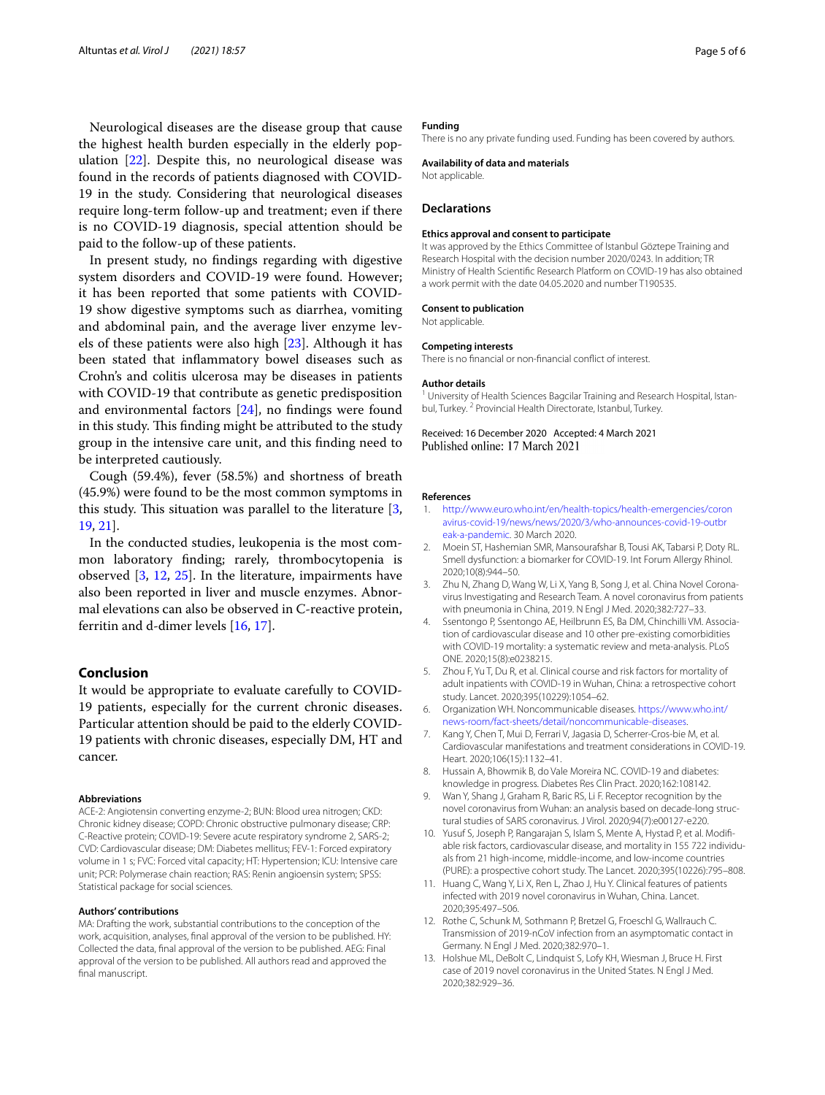Neurological diseases are the disease group that cause the highest health burden especially in the elderly population [\[22](#page-5-8)]. Despite this, no neurological disease was found in the records of patients diagnosed with COVID-19 in the study. Considering that neurological diseases require long-term follow-up and treatment; even if there is no COVID-19 diagnosis, special attention should be paid to the follow-up of these patients.

In present study, no fndings regarding with digestive system disorders and COVID-19 were found. However; it has been reported that some patients with COVID-19 show digestive symptoms such as diarrhea, vomiting and abdominal pain, and the average liver enzyme levels of these patients were also high [[23\]](#page-5-9). Although it has been stated that infammatory bowel diseases such as Crohn's and colitis ulcerosa may be diseases in patients with COVID-19 that contribute as genetic predisposition and environmental factors [[24](#page-5-10)], no fndings were found in this study. This finding might be attributed to the study group in the intensive care unit, and this fnding need to be interpreted cautiously.

Cough (59.4%), fever (58.5%) and shortness of breath (45.9%) were found to be the most common symptoms in this study. This situation was parallel to the literature  $[3, 3]$  $[3, 3]$ [19,](#page-5-5) [21\]](#page-5-7).

In the conducted studies, leukopenia is the most common laboratory fnding; rarely, thrombocytopenia is observed [\[3](#page-4-2), [12,](#page-4-12) [25](#page-5-11)]. In the literature, impairments have also been reported in liver and muscle enzymes. Abnormal elevations can also be observed in C-reactive protein, ferritin and d-dimer levels [\[16,](#page-5-2) [17](#page-5-3)].

## **Conclusion**

It would be appropriate to evaluate carefully to COVID-19 patients, especially for the current chronic diseases. Particular attention should be paid to the elderly COVID-19 patients with chronic diseases, especially DM, HT and cancer.

#### **Abbreviations**

ACE-2: Angiotensin converting enzyme-2; BUN: Blood urea nitrogen; CKD: Chronic kidney disease; COPD: Chronic obstructive pulmonary disease; CRP: C-Reactive protein; COVID-19: Severe acute respiratory syndrome 2, SARS-2; CVD: Cardiovascular disease; DM: Diabetes mellitus; FEV-1: Forced expiratory volume in 1 s; FVC: Forced vital capacity; HT: Hypertension; ICU: Intensive care unit; PCR: Polymerase chain reaction; RAS: Renin angioensin system; SPSS: Statistical package for social sciences.

#### **Authors' contributions**

MA: Drafting the work, substantial contributions to the conception of the work, acquisition, analyses, fnal approval of the version to be published. HY: Collected the data, fnal approval of the version to be published. AEG: Final approval of the version to be published. All authors read and approved the final manuscript.

#### **Funding**

There is no any private funding used. Funding has been covered by authors.

#### **Availability of data and materials**

Not applicable.

#### **Declarations**

#### **Ethics approval and consent to participate**

It was approved by the Ethics Committee of Istanbul Göztepe Training and Research Hospital with the decision number 2020/0243. In addition; TR Ministry of Health Scientifc Research Platform on COVID-19 has also obtained a work permit with the date 04.05.2020 and number T190535.

#### **Consent to publication**

Not applicable.

#### **Competing interests**

There is no fnancial or non-fnancial confict of interest.

#### **Author details**

<sup>1</sup> University of Health Sciences Bagcilar Training and Research Hospital, Istanbul, Turkey. <sup>2</sup> Provincial Health Directorate, Istanbul, Turkey.

Received: 16 December 2020 Accepted: 4 March 2021

#### **References**

- <span id="page-4-0"></span>1. [http://www.euro.who.int/en/health-topics/health-emergencies/coron](http://www.euro.who.int/en/health-topics/health-emergencies/coronavirus-covid-19/news/news/2020/3/who-announces-covid-19-outbreak-a-pandemic) [avirus-covid-19/news/news/2020/3/who-announces-covid-19-outbr](http://www.euro.who.int/en/health-topics/health-emergencies/coronavirus-covid-19/news/news/2020/3/who-announces-covid-19-outbreak-a-pandemic) [eak-a-pandemic.](http://www.euro.who.int/en/health-topics/health-emergencies/coronavirus-covid-19/news/news/2020/3/who-announces-covid-19-outbreak-a-pandemic) 30 March 2020.
- <span id="page-4-1"></span>2. Moein ST, Hashemian SMR, Mansourafshar B, Tousi AK, Tabarsi P, Doty RL. Smell dysfunction: a biomarker for COVID-19. Int Forum Allergy Rhinol. 2020;10(8):944–50.
- <span id="page-4-2"></span>3. Zhu N, Zhang D, Wang W, Li X, Yang B, Song J, et al. China Novel Coronavirus Investigating and Research Team. A novel coronavirus from patients with pneumonia in China, 2019. N Engl J Med. 2020;382:727–33.
- <span id="page-4-3"></span>4. Ssentongo P, Ssentongo AE, Heilbrunn ES, Ba DM, Chinchilli VM. Association of cardiovascular disease and 10 other pre-existing comorbidities with COVID-19 mortality: a systematic review and meta-analysis. PLoS ONE. 2020;15(8):e0238215.
- <span id="page-4-4"></span>5. Zhou F, Yu T, Du R, et al. Clinical course and risk factors for mortality of adult inpatients with COVID-19 in Wuhan, China: a retrospective cohort study. Lancet. 2020;395(10229):1054–62.
- <span id="page-4-5"></span>6. Organization WH. Noncommunicable diseases. [https://www.who.int/](https://www.who.int/news-room/fact-sheets/detail/noncommunicable-diseases) [news-room/fact-sheets/detail/noncommunicable-diseases.](https://www.who.int/news-room/fact-sheets/detail/noncommunicable-diseases)
- <span id="page-4-6"></span>7. Kang Y, Chen T, Mui D, Ferrari V, Jagasia D, Scherrer-Cros-bie M, et al. Cardiovascular manifestations and treatment considerations in COVID-19. Heart. 2020;106(15):1132–41.
- <span id="page-4-7"></span>8. Hussain A, Bhowmik B, do Vale Moreira NC. COVID-19 and diabetes: knowledge in progress. Diabetes Res Clin Pract. 2020;162:108142.
- <span id="page-4-8"></span>9. Wan Y, Shang J, Graham R, Baric RS, Li F. Receptor recognition by the novel coronavirus from Wuhan: an analysis based on decade-long structural studies of SARS coronavirus. J Virol. 2020;94(7):e00127-e220.
- <span id="page-4-9"></span>10. Yusuf S, Joseph P, Rangarajan S, Islam S, Mente A, Hystad P, et al. Modifable risk factors, cardiovascular disease, and mortality in 155 722 individuals from 21 high-income, middle-income, and low-income countries (PURE): a prospective cohort study. The Lancet. 2020;395(10226):795–808.
- <span id="page-4-10"></span>11. Huang C, Wang Y, Li X, Ren L, Zhao J, Hu Y. Clinical features of patients infected with 2019 novel coronavirus in Wuhan, China. Lancet. 2020;395:497–506.
- <span id="page-4-12"></span>12. Rothe C, Schunk M, Sothmann P, Bretzel G, Froeschl G, Wallrauch C. Transmission of 2019-nCoV infection from an asymptomatic contact in Germany. N Engl J Med. 2020;382:970–1.
- <span id="page-4-11"></span>13. Holshue ML, DeBolt C, Lindquist S, Lofy KH, Wiesman J, Bruce H. First case of 2019 novel coronavirus in the United States. N Engl J Med. 2020;382:929–36.